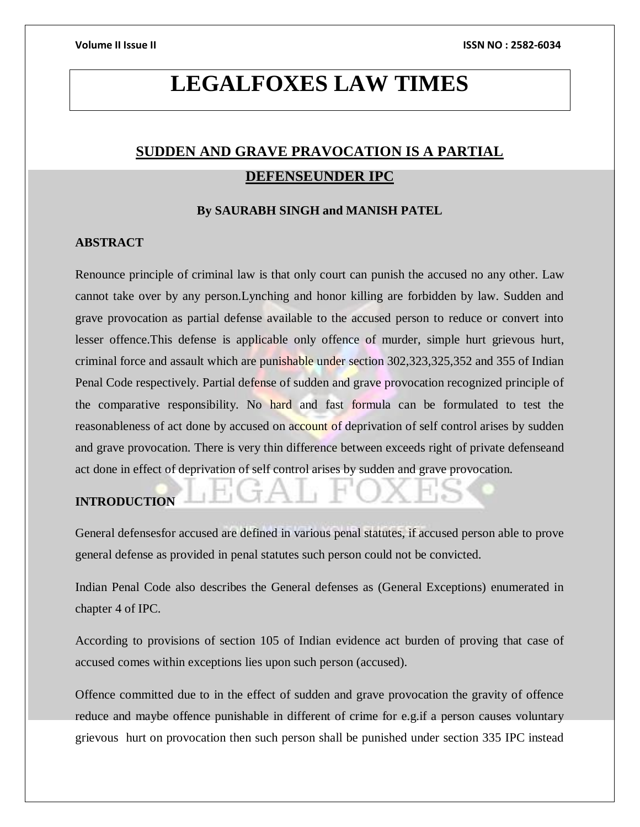# **LEGALFOXES LAW TIMES**

# **SUDDEN AND GRAVE PRAVOCATION IS A PARTIAL DEFENSEUNDER IPC**

### **By SAURABH SINGH and MANISH PATEL**

### **ABSTRACT**

Renounce principle of criminal law is that only court can punish the accused no any other. Law cannot take over by any person.Lynching and honor killing are forbidden by law. Sudden and grave provocation as partial defense available to the accused person to reduce or convert into lesser offence.This defense is applicable only offence of murder, simple hurt grievous hurt, criminal force and assault which are punishable under section 302,323,325,352 and 355 of Indian Penal Code respectively. Partial defense of sudden and grave provocation recognized principle of the comparative responsibility. No hard and fast formula can be formulated to test the reasonableness of act done by accused on account of deprivation of self control arises by sudden and grave provocation. There is very thin difference between exceeds right of private defenseand act done in effect of deprivation of self control arises by sudden and grave provocation.

# **INTRODUCTION**

General defensesfor accused are defined in various penal statutes, if accused person able to prove general defense as provided in penal statutes such person could not be convicted.

Indian Penal Code also describes the General defenses as (General Exceptions) enumerated in chapter 4 of IPC.

According to provisions of section 105 of Indian evidence act burden of proving that case of accused comes within exceptions lies upon such person (accused).

Offence committed due to in the effect of sudden and grave provocation the gravity of offence reduce and maybe offence punishable in different of crime for e.g.if a person causes voluntary grievous hurt on provocation then such person shall be punished under section 335 IPC instead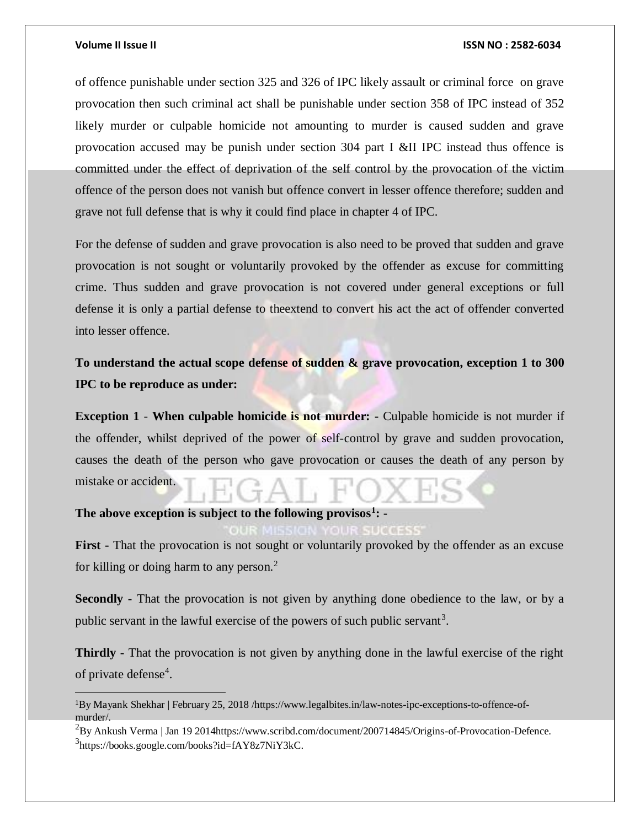### **Volume II Issue II ISSN NO : 2582-6034**

of offence punishable under section 325 and 326 of IPC likely assault or criminal force on grave provocation then such criminal act shall be punishable under section 358 of IPC instead of 352 likely murder or culpable homicide not amounting to murder is caused sudden and grave provocation accused may be punish under section 304 part I &II IPC instead thus offence is committed under the effect of deprivation of the self control by the provocation of the victim offence of the person does not vanish but offence convert in lesser offence therefore; sudden and grave not full defense that is why it could find place in chapter 4 of IPC.

For the defense of sudden and grave provocation is also need to be proved that sudden and grave provocation is not sought or voluntarily provoked by the offender as excuse for committing crime. Thus sudden and grave provocation is not covered under general exceptions or full defense it is only a partial defense to theextend to convert his act the act of offender converted into lesser offence.

**To understand the actual scope defense of sudden & grave provocation, exception 1 to 300 IPC to be reproduce as under:**

**Exception 1** - **When culpable homicide is not murder:** - Culpable homicide is not murder if the offender, whilst deprived of the power of self-control by grave and sudden provocation, causes the death of the person who gave provocation or causes the death of any person by mistake or accident.

## **The above exception is subject to the following provisos<sup>1</sup> : -**

First - That the provocation is not sought or voluntarily provoked by the offender as an excuse for killing or doing harm to any person. $<sup>2</sup>$ </sup>

**Secondly -** That the provocation is not given by anything done obedience to the law, or by a public servant in the lawful exercise of the powers of such public servant<sup>3</sup>.

**Thirdly -** That the provocation is not given by anything done in the lawful exercise of the right of private defense<sup>4</sup>.

<sup>1</sup>By Mayank Shekhar | February 25, 2018 /https://www.legalbites.in/law-notes-ipc-exceptions-to-offence-ofmurder/.

<sup>2</sup>By Ankush Verma | Jan 19 2014https://www.scribd.com/document/200714845/Origins-of-Provocation-Defence. 3 https://books.google.com/books?id=fAY8z7NiY3kC.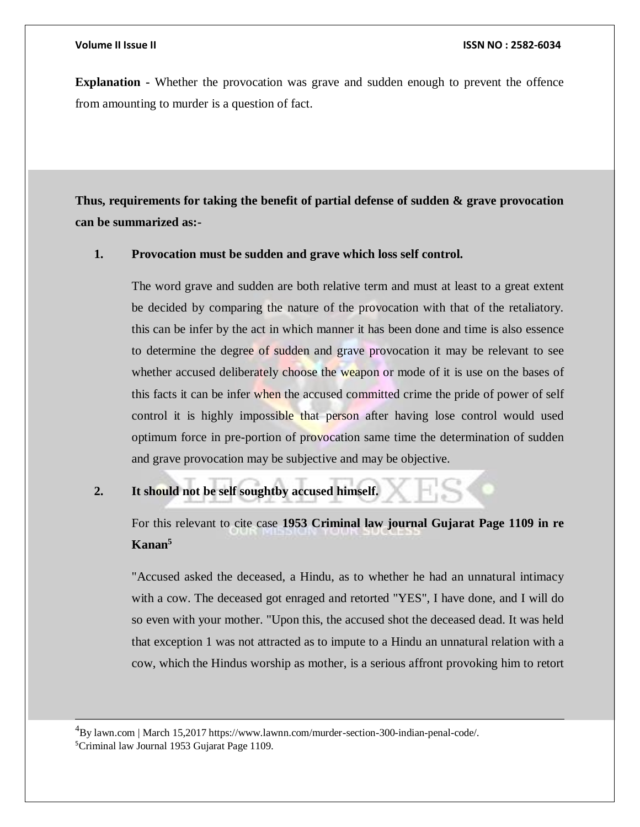$\overline{a}$ 

**Explanation -** Whether the provocation was grave and sudden enough to prevent the offence from amounting to murder is a question of fact.

**Thus, requirements for taking the benefit of partial defense of sudden & grave provocation can be summarized as:-**

### **1. Provocation must be sudden and grave which loss self control.**

The word grave and sudden are both relative term and must at least to a great extent be decided by comparing the nature of the provocation with that of the retaliatory. this can be infer by the act in which manner it has been done and time is also essence to determine the degree of sudden and grave provocation it may be relevant to see whether accused deliberately choose the weapon or mode of it is use on the bases of this facts it can be infer when the accused committed crime the pride of power of self control it is highly impossible that person after having lose control would used optimum force in pre-portion of provocation same time the determination of sudden and grave provocation may be subjective and may be objective.

# **2. It should not be self soughtby accused himself.**

For this relevant to cite case **1953 Criminal law journal Gujarat Page 1109 in re Kanan<sup>5</sup>**

"Accused asked the deceased, a Hindu, as to whether he had an unnatural intimacy with a cow. The deceased got enraged and retorted "YES", I have done, and I will do so even with your mother. "Upon this, the accused shot the deceased dead. It was held that exception 1 was not attracted as to impute to a Hindu an unnatural relation with a cow, which the Hindus worship as mother, is a serious affront provoking him to retort

<sup>4</sup>By lawn.com | March 15,2017 https://www.lawnn.com/murder-section-300-indian-penal-code/. 5Criminal law Journal 1953 Gujarat Page 1109.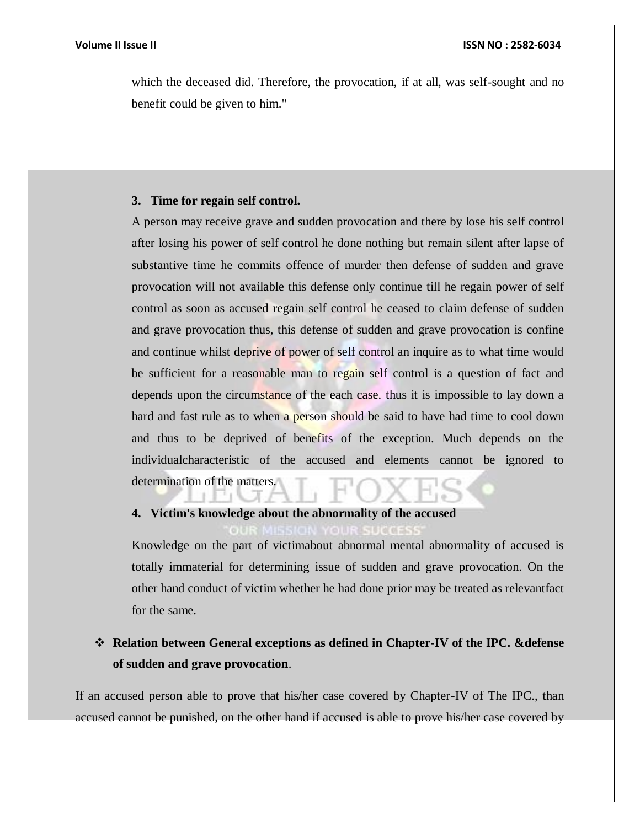which the deceased did. Therefore, the provocation, if at all, was self-sought and no benefit could be given to him."

### **3. Time for regain self control.**

A person may receive grave and sudden provocation and there by lose his self control after losing his power of self control he done nothing but remain silent after lapse of substantive time he commits offence of murder then defense of sudden and grave provocation will not available this defense only continue till he regain power of self control as soon as accused regain self control he ceased to claim defense of sudden and grave provocation thus, this defense of sudden and grave provocation is confine and continue whilst deprive of power of self control an inquire as to what time would be sufficient for a reasonable man to regain self control is a question of fact and depends upon the circumstance of the each case. thus it is impossible to lay down a hard and fast rule as to when a person should be said to have had time to cool down and thus to be deprived of benefits of the exception. Much depends on the individualcharacteristic of the accused and elements cannot be ignored to determination of the matters.

# **4. Victim's knowledge about the abnormality of the accused**

Knowledge on the part of victimabout abnormal mental abnormality of accused is totally immaterial for determining issue of sudden and grave provocation. On the other hand conduct of victim whether he had done prior may be treated as relevantfact for the same.

# **Relation between General exceptions as defined in Chapter-IV of the IPC. &defense of sudden and grave provocation**.

If an accused person able to prove that his/her case covered by Chapter-IV of The IPC., than accused cannot be punished, on the other hand if accused is able to prove his/her case covered by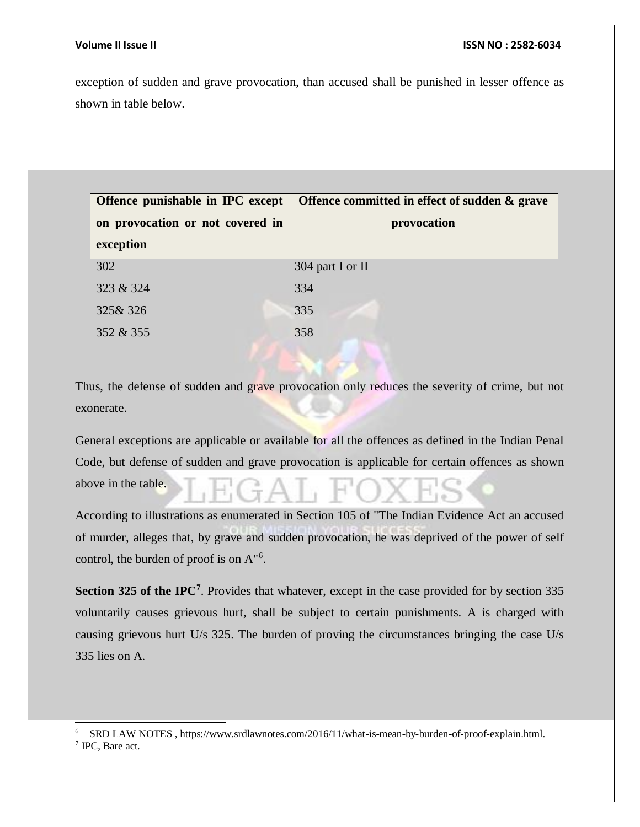l

exception of sudden and grave provocation, than accused shall be punished in lesser offence as shown in table below.

| Offence punishable in IPC except<br>on provocation or not covered in<br>exception | Offence committed in effect of sudden & grave<br>provocation |
|-----------------------------------------------------------------------------------|--------------------------------------------------------------|
| 302                                                                               | 304 part I or II                                             |
| 323 & 324                                                                         | 334                                                          |
| 325& 326                                                                          | 335                                                          |
| 352 & 355                                                                         | 358                                                          |

Thus, the defense of sudden and grave provocation only reduces the severity of crime, but not exonerate.

General exceptions are applicable or available for all the offences as defined in the Indian Penal Code, but defense of sudden and grave provocation is applicable for certain offences as shown above in the table.

According to illustrations as enumerated in Section 105 of "The Indian Evidence Act an accused of murder, alleges that, by grave and sudden provocation, he was deprived of the power of self control, the burden of proof is on A<sup>"6</sup>.

Section 325 of the IPC<sup>7</sup>. Provides that whatever, except in the case provided for by section 335 voluntarily causes grievous hurt, shall be subject to certain punishments. A is charged with causing grievous hurt U/s 325. The burden of proving the circumstances bringing the case U/s 335 lies on A.

<sup>6</sup> SRD LAW NOTES , https://www.srdlawnotes.com/2016/11/what-is-mean-by-burden-of-proof-explain.html. 7 IPC, Bare act.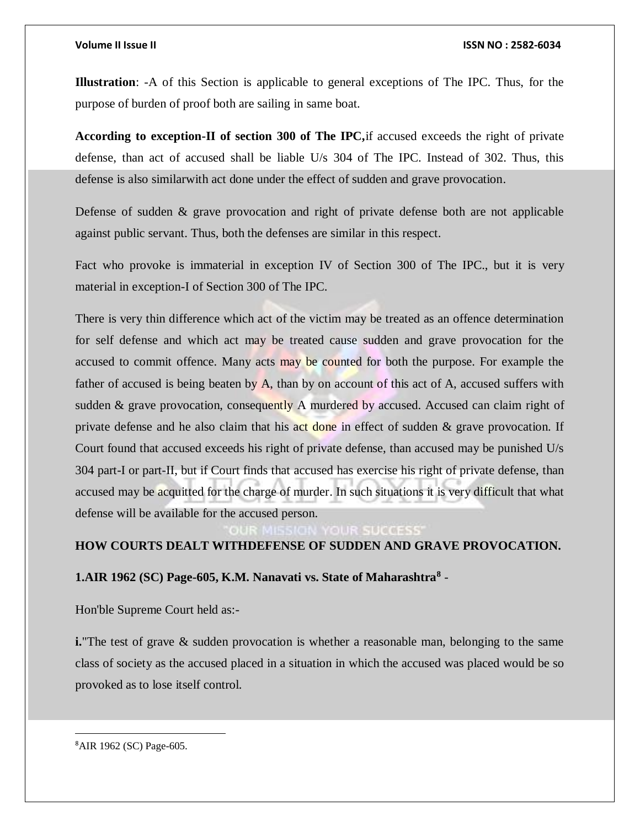### **Volume II Issue II ISSN NO : 2582-6034**

**Illustration**: -A of this Section is applicable to general exceptions of The IPC. Thus, for the purpose of burden of proof both are sailing in same boat.

**According to exception-II of section 300 of The IPC,**if accused exceeds the right of private defense, than act of accused shall be liable U/s 304 of The IPC. Instead of 302. Thus, this defense is also similarwith act done under the effect of sudden and grave provocation.

Defense of sudden & grave provocation and right of private defense both are not applicable against public servant. Thus, both the defenses are similar in this respect.

Fact who provoke is immaterial in exception IV of Section 300 of The IPC., but it is very material in exception-I of Section 300 of The IPC.

There is very thin difference which act of the victim may be treated as an offence determination for self defense and which act may be treated cause sudden and grave provocation for the accused to commit offence. Many acts may be counted for both the purpose. For example the father of accused is being beaten by A, than by on account of this act of A, accused suffers with sudden & grave provocation, consequently A murdered by accused. Accused can claim right of private defense and he also claim that his act done in effect of sudden  $\&$  grave provocation. If Court found that accused exceeds his right of private defense, than accused may be punished U/s 304 part-I or part-II, but if Court finds that accused has exercise his right of private defense, than accused may be acquitted for the charge of murder. In such situations it is very difficult that what defense will be available for the accused person.

# **HOW COURTS DEALT WITHDEFENSE OF SUDDEN AND GRAVE PROVOCATION.**

# **1.AIR 1962 (SC) Page-605, K.M. Nanavati vs. State of Maharashtra<sup>8</sup>** -

Hon'ble Supreme Court held as:-

**i.** The test of grave & sudden provocation is whether a reasonable man, belonging to the same class of society as the accused placed in a situation in which the accused was placed would be so provoked as to lose itself control.

8AIR 1962 (SC) Page-605.

 $\overline{a}$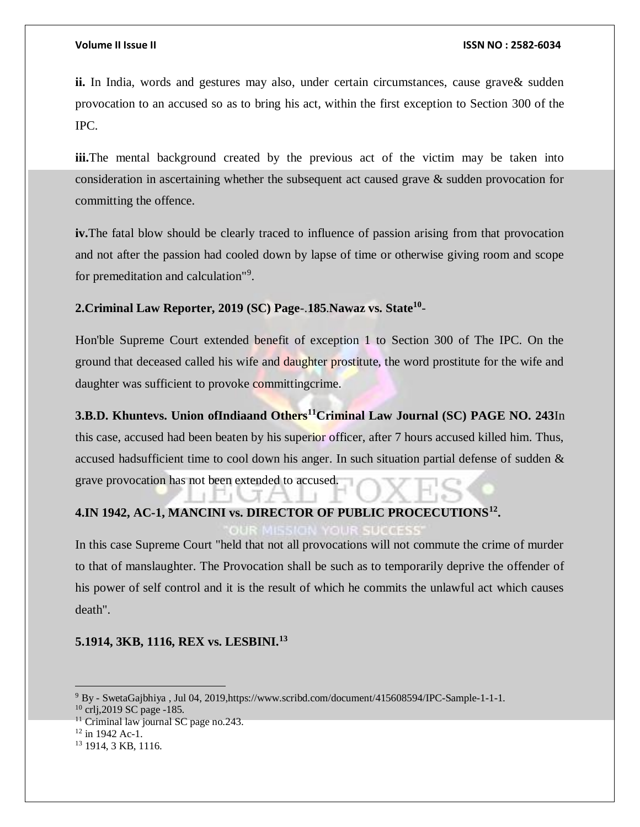**ii.** In India, words and gestures may also, under certain circumstances, cause grave & sudden provocation to an accused so as to bring his act, within the first exception to Section 300 of the IPC.

**iii.**The mental background created by the previous act of the victim may be taken into consideration in ascertaining whether the subsequent act caused grave & sudden provocation for committing the offence.

**iv.**The fatal blow should be clearly traced to influence of passion arising from that provocation and not after the passion had cooled down by lapse of time or otherwise giving room and scope for premeditation and calculation"<sup>9</sup> .

# **2.Criminal Law Reporter, 2019 (SC) Page**-.**185**.**Nawaz vs. State<sup>10</sup>** -

Hon'ble Supreme Court extended benefit of exception 1 to Section 300 of The IPC. On the ground that deceased called his wife and daughter prostitute, the word prostitute for the wife and daughter was sufficient to provoke committing crime.

**3.B.D. Khuntevs. Union ofIndiaand Others<sup>11</sup>Criminal Law Journal (SC) PAGE NO. 243**In this case, accused had been beaten by his superior officer, after 7 hours accused killed him. Thus, accused hadsufficient time to cool down his anger. In such situation partial defense of sudden & grave provocation has not been extended to accused.

# **4.IN 1942, AC-1, MANCINI vs. DIRECTOR OF PUBLIC PROCECUTIONS<sup>12</sup> .**

In this case Supreme Court "held that not all provocations will not commute the crime of murder to that of manslaughter. The Provocation shall be such as to temporarily deprive the offender of his power of self control and it is the result of which he commits the unlawful act which causes death".

# **5.1914, 3KB, 1116, REX vs. LESBINI.<sup>13</sup>**

 $\overline{a}$ 

<sup>9</sup> By - SwetaGajbhiya , Jul 04, 2019,https://www.scribd.com/document/415608594/IPC-Sample-1-1-1.

<sup>10</sup> crlj,2019 SC page -185.

 $11$  Criminal law journal SC page no.243.

 $12$  in 1942 Ac-1.

<sup>13</sup> 1914, 3 KB, 1116.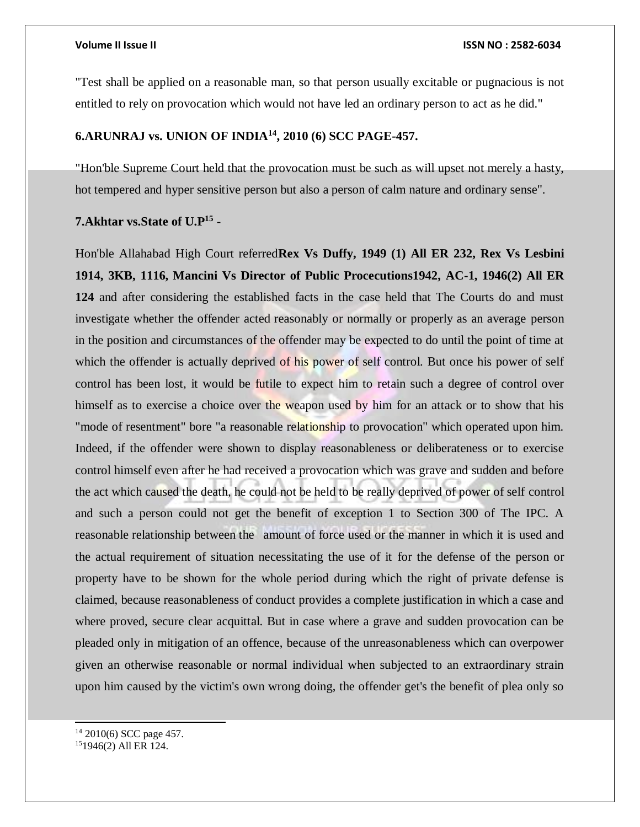"Test shall be applied on a reasonable man, so that person usually excitable or pugnacious is not entitled to rely on provocation which would not have led an ordinary person to act as he did."

### **6.ARUNRAJ vs. UNION OF INDIA<sup>14</sup>, 2010 (6) SCC PAGE-457.**

"Hon'ble Supreme Court held that the provocation must be such as will upset not merely a hasty, hot tempered and hyper sensitive person but also a person of calm nature and ordinary sense".

## **7.Akhtar vs.State of U.P<sup>15</sup>** -

Hon'ble Allahabad High Court referred**Rex Vs Duffy, 1949 (1) All ER 232, Rex Vs Lesbini 1914, 3KB, 1116, Mancini Vs Director of Public Procecutions1942, AC-1, 1946(2) All ER 124** and after considering the established facts in the case held that The Courts do and must investigate whether the offender acted reasonably or normally or properly as an average person in the position and circumstances of the offender may be expected to do until the point of time at which the offender is actually deprived of his power of self control. But once his power of self control has been lost, it would be futile to expect him to retain such a degree of control over himself as to exercise a choice over the weapon used by him for an attack or to show that his "mode of resentment" bore "a reasonable relationship to provocation" which operated upon him. Indeed, if the offender were shown to display reasonableness or deliberateness or to exercise control himself even after he had received a provocation which was grave and sudden and before the act which caused the death, he could not be held to be really deprived of power of self control and such a person could not get the benefit of exception 1 to Section 300 of The IPC. A reasonable relationship between the amount of force used or the manner in which it is used and the actual requirement of situation necessitating the use of it for the defense of the person or property have to be shown for the whole period during which the right of private defense is claimed, because reasonableness of conduct provides a complete justification in which a case and where proved, secure clear acquittal. But in case where a grave and sudden provocation can be pleaded only in mitigation of an offence, because of the unreasonableness which can overpower given an otherwise reasonable or normal individual when subjected to an extraordinary strain upon him caused by the victim's own wrong doing, the offender get's the benefit of plea only so

l <sup>14</sup> 2010(6) SCC page 457.

<sup>15</sup>1946(2) All ER 124.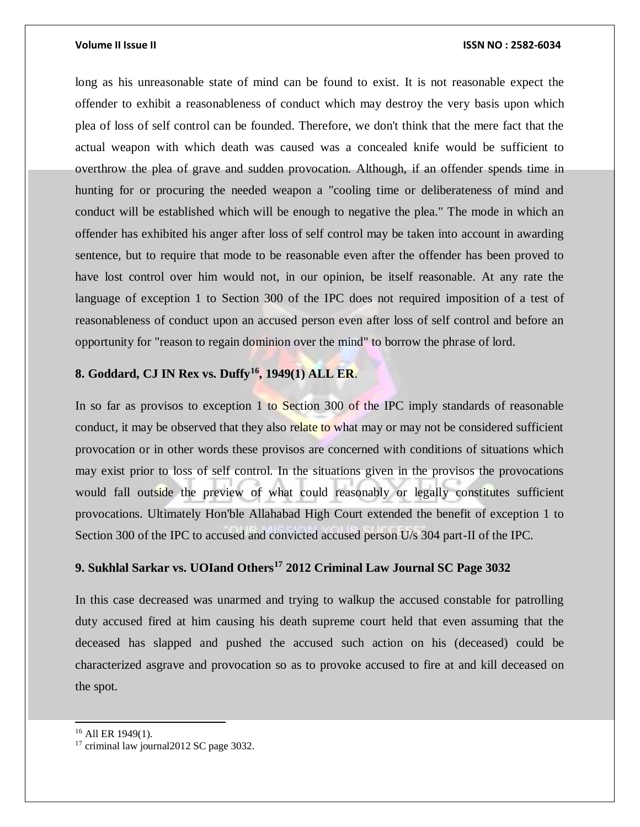### **Volume II Issue II ISSN NO : 2582-6034**

long as his unreasonable state of mind can be found to exist. It is not reasonable expect the offender to exhibit a reasonableness of conduct which may destroy the very basis upon which plea of loss of self control can be founded. Therefore, we don't think that the mere fact that the actual weapon with which death was caused was a concealed knife would be sufficient to overthrow the plea of grave and sudden provocation. Although, if an offender spends time in hunting for or procuring the needed weapon a "cooling time or deliberateness of mind and conduct will be established which will be enough to negative the plea." The mode in which an offender has exhibited his anger after loss of self control may be taken into account in awarding sentence, but to require that mode to be reasonable even after the offender has been proved to have lost control over him would not, in our opinion, be itself reasonable. At any rate the language of exception 1 to Section 300 of the IPC does not required imposition of a test of reasonableness of conduct upon an accused person even after loss of self control and before an opportunity for "reason to regain dominion over the mind" to borrow the phrase of lord.

# **8. Goddard, CJ IN Rex vs. Duffy<sup>16</sup>, 1949(1) ALL ER**.

In so far as provisos to exception 1 to Section 300 of the IPC imply standards of reasonable conduct, it may be observed that they also relate to what may or may not be considered sufficient provocation or in other words these provisos are concerned with conditions of situations which may exist prior to loss of self control. In the situations given in the provisos the provocations would fall outside the preview of what could reasonably or legally constitutes sufficient provocations. Ultimately Hon'ble Allahabad High Court extended the benefit of exception 1 to Section 300 of the IPC to accused and convicted accused person U/s 304 part-II of the IPC.

# **9. Sukhlal Sarkar vs. UOIand Others<sup>17</sup> 2012 Criminal Law Journal SC Page 3032**

In this case decreased was unarmed and trying to walkup the accused constable for patrolling duty accused fired at him causing his death supreme court held that even assuming that the deceased has slapped and pushed the accused such action on his (deceased) could be characterized asgrave and provocation so as to provoke accused to fire at and kill deceased on the spot.

l

<sup>16</sup> All ER 1949(1).

<sup>&</sup>lt;sup>17</sup> criminal law journal2012 SC page 3032.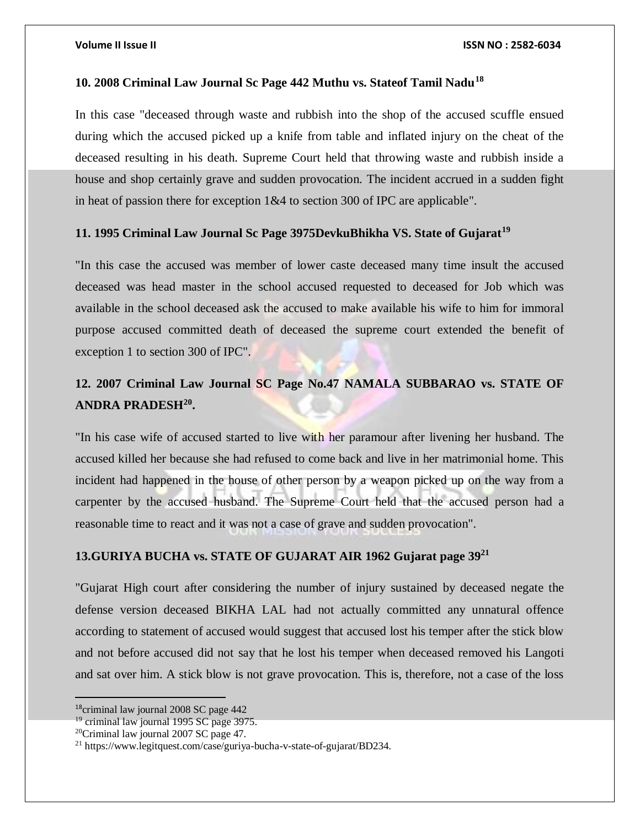### **10. 2008 Criminal Law Journal Sc Page 442 Muthu vs. Stateof Tamil Nadu<sup>18</sup>**

In this case "deceased through waste and rubbish into the shop of the accused scuffle ensued during which the accused picked up a knife from table and inflated injury on the cheat of the deceased resulting in his death. Supreme Court held that throwing waste and rubbish inside a house and shop certainly grave and sudden provocation. The incident accrued in a sudden fight in heat of passion there for exception 1&4 to section 300 of IPC are applicable".

### **11. 1995 Criminal Law Journal Sc Page 3975DevkuBhikha VS. State of Gujarat<sup>19</sup>**

"In this case the accused was member of lower caste deceased many time insult the accused deceased was head master in the school accused requested to deceased for Job which was available in the school deceased ask the accused to make available his wife to him for immoral purpose accused committed death of deceased the supreme court extended the benefit of exception 1 to section 300 of IPC".

# **12. 2007 Criminal Law Journal SC Page No.47 NAMALA SUBBARAO vs. STATE OF ANDRA PRADESH<sup>20</sup> .**

"In his case wife of accused started to live with her paramour after livening her husband. The accused killed her because she had refused to come back and live in her matrimonial home. This incident had happened in the house of other person by a weapon picked up on the way from a carpenter by the accused husband. The Supreme Court held that the accused person had a reasonable time to react and it was not a case of grave and sudden provocation".

### **13.GURIYA BUCHA vs. STATE OF GUJARAT AIR 1962 Gujarat page 39<sup>21</sup>**

"Gujarat High court after considering the number of injury sustained by deceased negate the defense version deceased BIKHA LAL had not actually committed any unnatural offence according to statement of accused would suggest that accused lost his temper after the stick blow and not before accused did not say that he lost his temper when deceased removed his Langoti and sat over him. A stick blow is not grave provocation. This is, therefore, not a case of the loss

<sup>18</sup>criminal law journal 2008 SC page 442

 $19$  criminal law journal 1995 SC page 3975.

<sup>20</sup>Criminal law journal 2007 SC page 47.

<sup>21</sup> https://www.legitquest.com/case/guriya-bucha-v-state-of-gujarat/BD234.